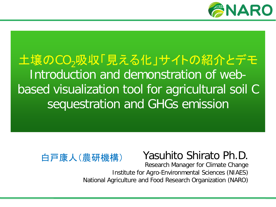

## 土壌のCO<sub>2</sub>吸収「見える化」サイトの紹介とデモ Introduction and demonstration of webbased visualization tool for agricultural soil C sequestration and GHGs emission



## Yasuhito Shirato Ph.D.

Research Manager for Climate Change Institute for Agro-Environmental Sciences (NIAES) National Agriculture and Food Research Organization (NARO)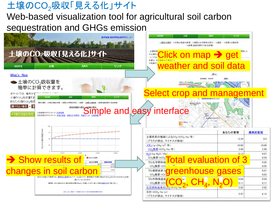### 土壌のCO<sub>2</sub>吸収「見える化」サイト

### Web-based visualization tool for agricultural soil carbon sequestration and GHGs emission

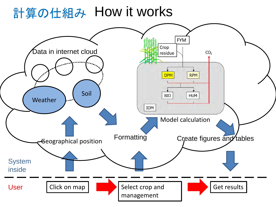## 計算の仕組み How it works

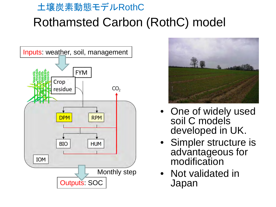## Rothamsted Carbon (RothC) model 土壌炭素動態モデルRothC





- One of widely used soil C models developed in UK.
- Simpler structure is advantageous for modification
- Not validated in Japan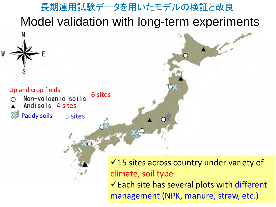

management (NPK, manure, straw, etc.)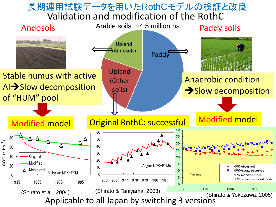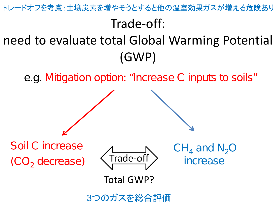トレードオフを考慮:土壌炭素を増やそうとすると他の温室効果ガスが増える危険あり

## Trade-off:

## need to evaluate total Global Warming Potential (GWP)

e.g. Mitigation option: "Increase C inputs to soils"



3つのガスを総合評価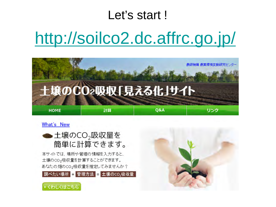## Let's start!

# <http://soilco2.dc.affrc.go.jp/>



#### What's New



本サイトでは、場所や管理の情報を入力すると、 土壌のCO<sub>2</sub>吸収量を計算することができます。 あなたの畑のCO2吸収量を推定してみませんか?

<mark>調べたい場所 +</mark> 管理方法 = 土壌のCO2吸収量



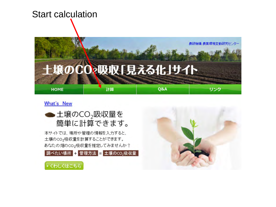

#### What's New



本サイトでは、場所や管理の情報を入力すると、 土壌のCO2吸収量を計算することができます。 あなたの畑のCO2吸収量を推定してみませんか?





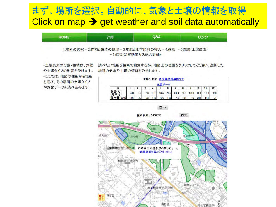### まず、場所を選択。自動的に、気象と土壌の情報を取得 Click on map  $\rightarrow$  get weather and soil data automatically



一土壌炭素の分解・蓄積は、気候 や土壌タイプの影響を受けます。 ーここでは、地図や住所から場所 を選び、その場所の土壌タイプ や気象データを読み込みます。

調べたい場所を住所で検索するか、地図上の位置をクリックしてください。選択した 場所の気象や土壌の情報を取得します。

|      |     |     |              |      |         |     | 土壌分類名: 表層腐植質黒ボク土 |      |                 |      |     |
|------|-----|-----|--------------|------|---------|-----|------------------|------|-----------------|------|-----|
|      |     |     | 3            |      | $\circ$ | O   |                  | ۰    |                 |      |     |
|      | 4.0 | 5.2 | $\mathbf{8}$ | 13.6 | 18.5    | 20. | 24.6             | 24.5 | 20.<br>$\Omega$ | 16.6 | 6.0 |
| (mm) | 16  | 39  | 92           | 16   | 106     | 159 | 45               | 181  | g               | 216  | 81  |

次へ

住所検索: 3050035

検索

研究 開闢林吹 産枝 消失器 この場所が選択されました。 ※ 表層腐植質黒ボク土 (03D) 高野台 影像境技術研究所 観音台(三 高野台 (一) 理化学研究所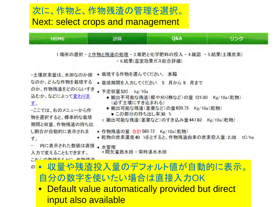### 次に、作物残渣の管理を選択。 Next: select crops and management



• Default value automatically provided but direct input also available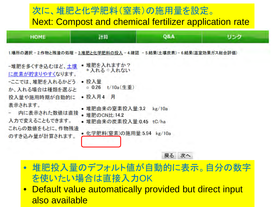### 次に、堆肥と化学肥料(窒素)の施用量を設定。 Next: Compost and chemical fertilizer application rate

| <b>HOME</b>                                                                                                                                                             | 計算                                                                                         | Q&A    | リンク |
|-------------------------------------------------------------------------------------------------------------------------------------------------------------------------|--------------------------------------------------------------------------------------------|--------|-----|
| 1.場所の選択 – 2.作物と残渣の処理 – 3.堆肥と化学肥料の投入 – 4.確認 – 5.結果(土壌炭素) – 6.結果(温室効果ガス総合評価)<br>-堆肥を多くすき込むほど、土壌<br>に炭素が貯まりやすくなります。<br>-ここでは、堆肥を入れるかどう。<br>か、入れる場合は種類を選ぶと<br>投入量や施用時期が自動的に | •堆肥を入れますか?<br>●入れる◎入れない<br>投入量<br>٠<br>$t/10a$ $($ 生重)<br>0.26<br>• 投入月4<br>月              |        |     |
| 表示されます。<br>- 内に表示された数値は直接<br>入力で変えることもできます。<br>これらの数値をもとに、作物残渣<br>のすき込み量が計算されます。                                                                                        | • 堆肥由来の窒素投入量:3.2<br>• 堆肥のCN比:14.2<br>• 堆肥由来の炭素投入量:0.45 tC/ha<br>• 化学肥料(窒素)の施用量:5.94 kg/10a | kg/10a |     |

戻る 次へ

- 堆肥投入量のデフォルト値が自動的に表示。自分の数字 を使いたい場合は直接入力OK
- Default value automatically provided but direct input also available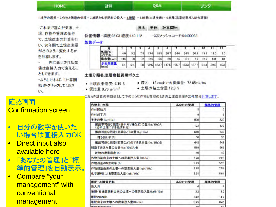| HOME | 計算 | Q&A | リンク |
|------|----|-----|-----|
|      |    |     |     |

1.場所の選択-2.作物と残渣の処理-3.堆肥と化学肥料の投入-4.確認 -5.結果(土壌炭素)-6.結果(温室効果ガス総合評価)

-これまで選んだ気象、土 壌、作物や管理の条件 で、土壌炭素の計算を行 い、20年間で土壌炭素量 がどのように変化するか を計算します。

内に表示された数 値は直接入力で変えるこ ともできます。 ーよろしければ、「計算開 始」をクリックしてくださ  $U_{\infty}$ 

#### 戻る 更新 計算開始

位置情報 -緯度:36.03 経度:140.112

-3次メッシュコード:54400038

気象データ

|         |     |                 |    |      |      |     |    |     |                                         | 10  | 11        | 12  |
|---------|-----|-----------------|----|------|------|-----|----|-----|-----------------------------------------|-----|-----------|-----|
| (月平均)   | 40  | 52 <sub>1</sub> | 78 | 13.6 | 18.5 |     |    |     | 20.7 246 245 209                        |     | 16.6 11.0 | 6.0 |
| 降水量(mm) | 116 | 39              | 92 | 116  | 106  | 159 | 45 | 181 | 19                                      | 216 | 141       | 81  |
| (mm)    | 8.4 | 124             | 28 |      |      |     |    |     | 69.6 123.7 147.5 195.7 183.3 127.7 84.3 |     | 39.5 15.3 |     |

土壌分類名:表層腐植質黒ボク土

- 土壤炭素濃度: 6.39 %
- 仮比重:0.76 g/cm3
- 深さ: 15 cmまでの炭素量: 72.85tC/ha
- 土壌の粘土含量:12.8%

これらを計算の初期値として下のような作物と管理のときの土壌炭素量を20年間分計算します。

| 作物名: 水稲                                         | あなたの管理 | 標準的管理 |
|-------------------------------------------------|--------|-------|
| 作付開始月                                           | 5      | 5     |
| 作付終了月                                           | ġ      | 9     |
| 予定収量 (kg/10a)                                   | 530    | 530   |
| 搬出不可能な残渣(根や刈り株など)の量 (kg/10a):A<br>(必ず土壌にすき込まれる) | 122    | 122   |
| 搬出可能な残渣(茎葉など)の量(kg/10a)                         | 640    | 640   |
| 持ち出し率(%)                                        | 30     | 30    |
| 搬出可能な残渣(茎葉など)のすき込み量 (kg/10a)B                   | 448    | 448   |
| 残渣すき込み量の合計 (kg/10a)A+B                          | 569    | 569   |
| 乾物の炭素濃度(%)                                      | 40     | 40    |
| 作物残渣由来の土壌への炭素投入量(tC/ha)                         | 2.28   | 228   |
| 作物残渣のN含有率(%)                                    | 523    | 523   |
| 作物残渣由来の土壌への窒素投入量(kgN/10a)                       | 298    | 298   |
| 化学肥料による窒素投入量(kgN/10a)                           | 594    | 594   |
| 堆肥·有機質肥料                                        | あなたの管理 | 標準的管理 |
| 投入月                                             |        | 4     |
| 堆肥・有機質肥料由来の土壌への窒素投入量(kgN/10a)                   | 32     | 32    |
| 堆肥のCN比                                          | 142    | 142   |
| 堆肥由来の土壌への炭素投入量(tC/ha)                           | 0.45   | 045   |
|                                                 |        |       |

#### 確認画面 Confirmation screen

• 自分の数字を使いた い場合は直接入力OK

#### • Direct input also available here

- 「あなたの管理」と「標 準的管理」を自動表示。
- Compare "your management" with **conventional** management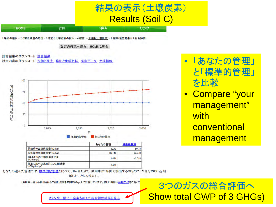## 結果の表示(土壌炭素) Results (Soil C)

リンク

1場所の選択 - 2.作物と残渣の処理 - 3.堆肥と化学肥料の投入 - 4.確認 - 5.結果(土壌炭素) - 6.結果(温室効果ガス総合評価)

設定の確認へ戻る HOMEに戻る

**Q&A** 

計算結果のダウンロード:計算結果 設定内容のダウンロード:作物と残渣 堆肥と化学肥料 気象データ 土壌情報

計算

**HOME** 



|                                               | あなたの管理 | 標準的管理    |
|-----------------------------------------------|--------|----------|
| 開始時の土壌炭素量(tC/ha)                              | 50.73  | 50.73    |
| 20年後の土壌炭素量(tC/ha)                             | 80.146 | 50.378   |
| 1年あたりの土壌炭素変化量<br>(tC/ha/vr)                   | 1.471  | $-0.018$ |
| 標準に比べた追加的なCO2削減量<br>(tCO <sub>2</sub> /ha/yr) | 5.457  |          |

• 「あなたの管理」 と「標準的管理」 を比較

• Compare "your management" with **conventional** management

あなたの選んだ管理では、標準的な管理と比べて、1ha当たりで、乗用車が1年間で排出するCO2の2.372台分のCO2を削

減したことになります。

(乗用車一台から排出される二酸化炭素を年間2300kgとして計算しています。詳しい内容は<mark>林野庁HP</mark>をご覧くだ

3つのガスの総合評価へ Show total GWP of 3 GHGs)

メタンや一酸化二窒素も加えた総合評価結果を見る